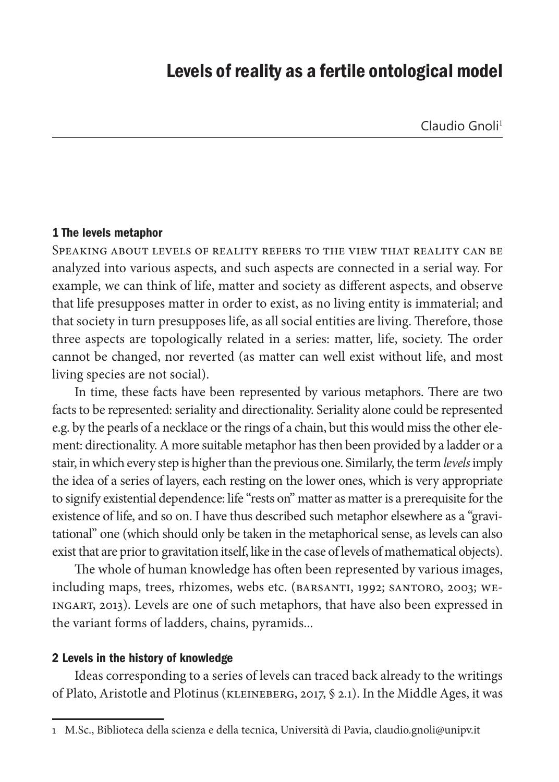# Levels of reality as a fertile ontological model

#### 1 The levels metaphor

Speaking about levels of reality refers to the view that reality can be analyzed into various aspects, and such aspects are connected in a serial way. For example, we can think of life, matter and society as different aspects, and observe that life presupposes matter in order to exist, as no living entity is immaterial; and that society in turn presupposes life, as all social entities are living. Therefore, those three aspects are topologically related in a series: matter, life, society. The order cannot be changed, nor reverted (as matter can well exist without life, and most living species are not social).

In time, these facts have been represented by various metaphors. There are two facts to be represented: seriality and directionality. Seriality alone could be represented e.g. by the pearls of a necklace or the rings of a chain, but this would miss the other element: directionality. A more suitable metaphor has then been provided by a ladder or a stair, in which every step is higher than the previous one. Similarly, the term *levels* imply the idea of a series of layers, each resting on the lower ones, which is very appropriate to signify existential dependence: life "rests on" matter as matter is a prerequisite for the existence of life, and so on. I have thus described such metaphor elsewhere as a "gravitational" one (which should only be taken in the metaphorical sense, as levels can also exist that are prior to gravitation itself, like in the case of levels of mathematical objects).

The whole of human knowledge has often been represented by various images, including maps, trees, rhizomes, webs etc. (BARSANTI, 1992; SANTORO, 2003; WE-INGART, 2013). Levels are one of such metaphors, that have also been expressed in the variant forms of ladders, chains, pyramids...

### 2 Levels in the history of knowledge

Ideas corresponding to a series of levels can traced back already to the writings of Plato, Aristotle and Plotinus (KLEINEBERG, 2017, § 2.1). In the Middle Ages, it was

<sup>1</sup> M.Sc., Biblioteca della scienza e della tecnica, Università di Pavia, claudio.gnoli@unipv.it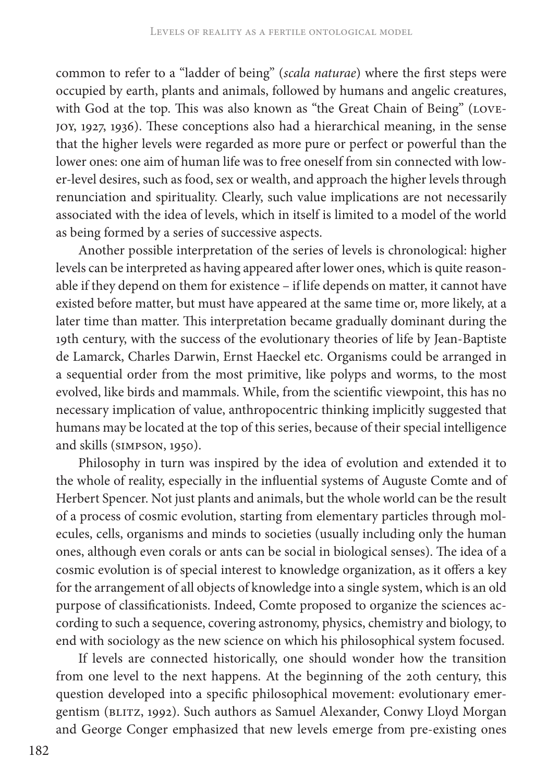common to refer to a "ladder of being" (*scala naturae*) where the first steps were occupied by earth, plants and animals, followed by humans and angelic creatures, with God at the top. This was also known as "the Great Chain of Being" (LOVE-JOY, 1927, 1936). These conceptions also had a hierarchical meaning, in the sense that the higher levels were regarded as more pure or perfect or powerful than the lower ones: one aim of human life was to free oneself from sin connected with lower-level desires, such as food, sex or wealth, and approach the higher levels through renunciation and spirituality. Clearly, such value implications are not necessarily associated with the idea of levels, which in itself is limited to a model of the world as being formed by a series of successive aspects.

Another possible interpretation of the series of levels is chronological: higher levels can be interpreted as having appeared after lower ones, which is quite reasonable if they depend on them for existence – if life depends on matter, it cannot have existed before matter, but must have appeared at the same time or, more likely, at a later time than matter. This interpretation became gradually dominant during the 19th century, with the success of the evolutionary theories of life by Jean-Baptiste de Lamarck, Charles Darwin, Ernst Haeckel etc. Organisms could be arranged in a sequential order from the most primitive, like polyps and worms, to the most evolved, like birds and mammals. While, from the scientific viewpoint, this has no necessary implication of value, anthropocentric thinking implicitly suggested that humans may be located at the top of this series, because of their special intelligence and skills (SIMPSON, 1950).

Philosophy in turn was inspired by the idea of evolution and extended it to the whole of reality, especially in the influential systems of Auguste Comte and of Herbert Spencer. Not just plants and animals, but the whole world can be the result of a process of cosmic evolution, starting from elementary particles through molecules, cells, organisms and minds to societies (usually including only the human ones, although even corals or ants can be social in biological senses). The idea of a cosmic evolution is of special interest to knowledge organization, as it offers a key for the arrangement of all objects of knowledge into a single system, which is an old purpose of classificationists. Indeed, Comte proposed to organize the sciences according to such a sequence, covering astronomy, physics, chemistry and biology, to end with sociology as the new science on which his philosophical system focused.

If levels are connected historically, one should wonder how the transition from one level to the next happens. At the beginning of the 20th century, this question developed into a specific philosophical movement: evolutionary emergentism (BLITZ, 1992). Such authors as Samuel Alexander, Conwy Lloyd Morgan and George Conger emphasized that new levels emerge from pre-existing ones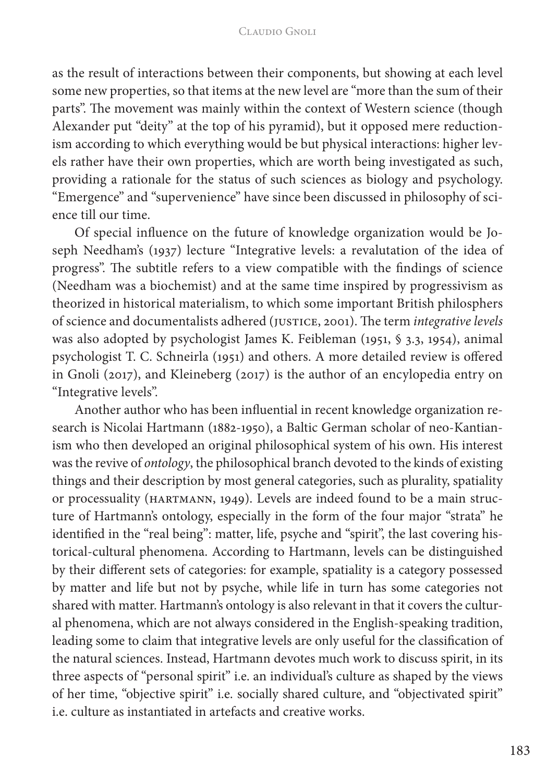as the result of interactions between their components, but showing at each level some new properties, so that items at the new level are "more than the sum of their parts". The movement was mainly within the context of Western science (though Alexander put "deity" at the top of his pyramid), but it opposed mere reductionism according to which everything would be but physical interactions: higher levels rather have their own properties, which are worth being investigated as such, providing a rationale for the status of such sciences as biology and psychology. "Emergence" and "supervenience" have since been discussed in philosophy of science till our time.

Of special influence on the future of knowledge organization would be Joseph Needham's (1937) lecture "Integrative levels: a revalutation of the idea of progress". The subtitle refers to a view compatible with the findings of science (Needham was a biochemist) and at the same time inspired by progressivism as theorized in historical materialism, to which some important British philosphers of science and documentalists adhered (JUSTICE, 2001). The term *integrative levels* was also adopted by psychologist James K. Feibleman (1951, § 3.3, 1954), animal psychologist T. C. Schneirla (1951) and others. A more detailed review is offered in Gnoli (2017), and Kleineberg (2017) is the author of an encylopedia entry on "Integrative levels".

Another author who has been influential in recent knowledge organization research is Nicolai Hartmann (1882-1950), a Baltic German scholar of neo-Kantianism who then developed an original philosophical system of his own. His interest was the revive of *ontology*, the philosophical branch devoted to the kinds of existing things and their description by most general categories, such as plurality, spatiality or processuality (HARTMANN, 1949). Levels are indeed found to be a main structure of Hartmann's ontology, especially in the form of the four major "strata" he identified in the "real being": matter, life, psyche and "spirit", the last covering historical-cultural phenomena. According to Hartmann, levels can be distinguished by their different sets of categories: for example, spatiality is a category possessed by matter and life but not by psyche, while life in turn has some categories not shared with matter. Hartmann's ontology is also relevant in that it covers the cultural phenomena, which are not always considered in the English-speaking tradition, leading some to claim that integrative levels are only useful for the classification of the natural sciences. Instead, Hartmann devotes much work to discuss spirit, in its three aspects of "personal spirit" i.e. an individual's culture as shaped by the views of her time, "objective spirit" i.e. socially shared culture, and "objectivated spirit" i.e. culture as instantiated in artefacts and creative works.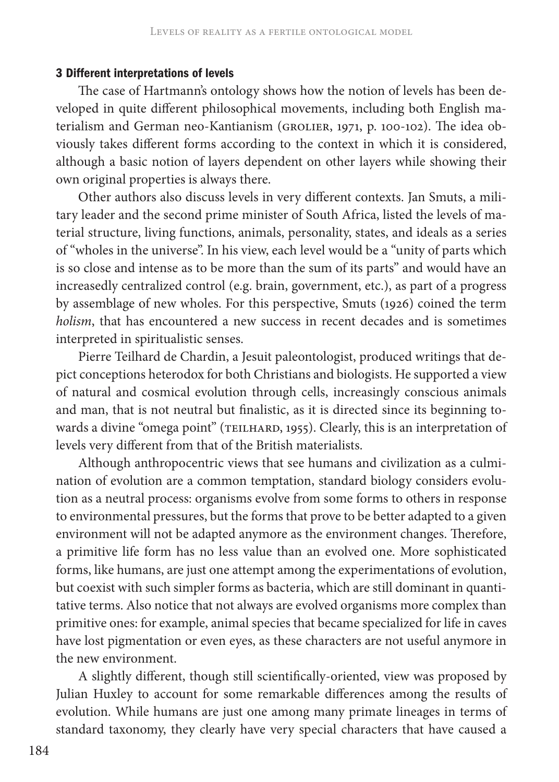#### 3 Different interpretations of levels

The case of Hartmann's ontology shows how the notion of levels has been developed in quite different philosophical movements, including both English materialism and German neo-Kantianism (GROLIER, 1971, p. 100-102). The idea obviously takes different forms according to the context in which it is considered, although a basic notion of layers dependent on other layers while showing their own original properties is always there.

Other authors also discuss levels in very different contexts. Jan Smuts, a military leader and the second prime minister of South Africa, listed the levels of material structure, living functions, animals, personality, states, and ideals as a series of "wholes in the universe". In his view, each level would be a "unity of parts which is so close and intense as to be more than the sum of its parts" and would have an increasedly centralized control (e.g. brain, government, etc.), as part of a progress by assemblage of new wholes. For this perspective, Smuts (1926) coined the term *holism*, that has encountered a new success in recent decades and is sometimes interpreted in spiritualistic senses.

Pierre Teilhard de Chardin, a Jesuit paleontologist, produced writings that depict conceptions heterodox for both Christians and biologists. He supported a view of natural and cosmical evolution through cells, increasingly conscious animals and man, that is not neutral but finalistic, as it is directed since its beginning towards a divine "omega point" (TEILHARD, 1955). Clearly, this is an interpretation of levels very different from that of the British materialists.

Although anthropocentric views that see humans and civilization as a culmination of evolution are a common temptation, standard biology considers evolution as a neutral process: organisms evolve from some forms to others in response to environmental pressures, but the forms that prove to be better adapted to a given environment will not be adapted anymore as the environment changes. Therefore, a primitive life form has no less value than an evolved one. More sophisticated forms, like humans, are just one attempt among the experimentations of evolution, but coexist with such simpler forms as bacteria, which are still dominant in quantitative terms. Also notice that not always are evolved organisms more complex than primitive ones: for example, animal species that became specialized for life in caves have lost pigmentation or even eyes, as these characters are not useful anymore in the new environment.

A slightly different, though still scientifically-oriented, view was proposed by Julian Huxley to account for some remarkable differences among the results of evolution. While humans are just one among many primate lineages in terms of standard taxonomy, they clearly have very special characters that have caused a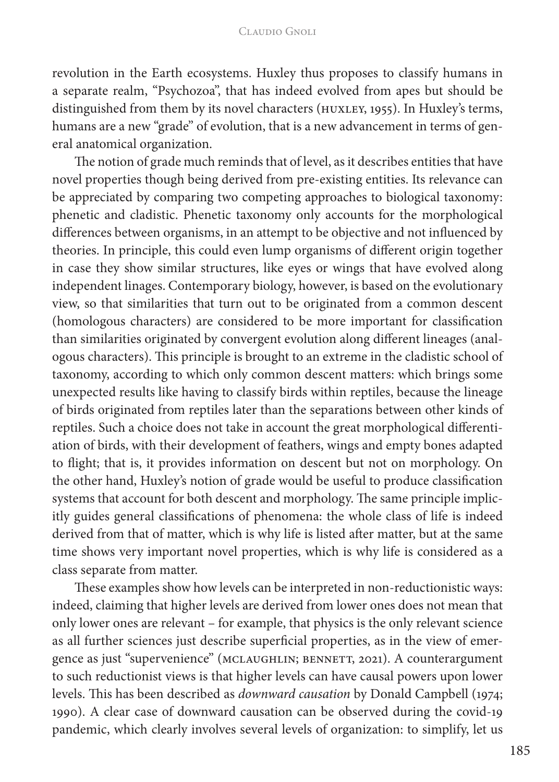revolution in the Earth ecosystems. Huxley thus proposes to classify humans in a separate realm, "Psychozoa", that has indeed evolved from apes but should be distinguished from them by its novel characters (HUXLEY, 1955). In Huxley's terms, humans are a new "grade" of evolution, that is a new advancement in terms of general anatomical organization.

The notion of grade much reminds that of level, as it describes entities that have novel properties though being derived from pre-existing entities. Its relevance can be appreciated by comparing two competing approaches to biological taxonomy: phenetic and cladistic. Phenetic taxonomy only accounts for the morphological differences between organisms, in an attempt to be objective and not influenced by theories. In principle, this could even lump organisms of different origin together in case they show similar structures, like eyes or wings that have evolved along independent linages. Contemporary biology, however, is based on the evolutionary view, so that similarities that turn out to be originated from a common descent (homologous characters) are considered to be more important for classification than similarities originated by convergent evolution along different lineages (analogous characters). This principle is brought to an extreme in the cladistic school of taxonomy, according to which only common descent matters: which brings some unexpected results like having to classify birds within reptiles, because the lineage of birds originated from reptiles later than the separations between other kinds of reptiles. Such a choice does not take in account the great morphological differentiation of birds, with their development of feathers, wings and empty bones adapted to flight; that is, it provides information on descent but not on morphology. On the other hand, Huxley's notion of grade would be useful to produce classification systems that account for both descent and morphology. The same principle implicitly guides general classifications of phenomena: the whole class of life is indeed derived from that of matter, which is why life is listed after matter, but at the same time shows very important novel properties, which is why life is considered as a class separate from matter.

These examples show how levels can be interpreted in non-reductionistic ways: indeed, claiming that higher levels are derived from lower ones does not mean that only lower ones are relevant – for example, that physics is the only relevant science as all further sciences just describe superficial properties, as in the view of emergence as just "supervenience" (MCLAUGHLIN; BENNETT, 2021). A counterargument to such reductionist views is that higher levels can have causal powers upon lower levels. This has been described as *downward causation* by Donald Campbell (1974; 1990). A clear case of downward causation can be observed during the covid-19 pandemic, which clearly involves several levels of organization: to simplify, let us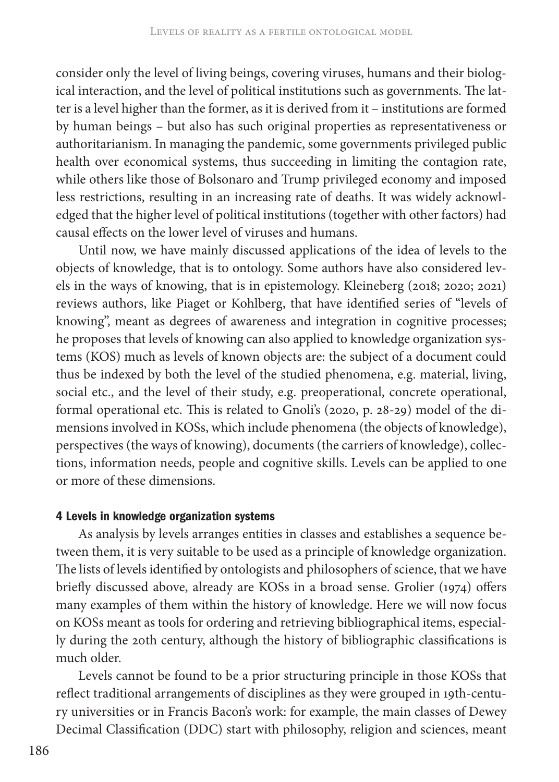consider only the level of living beings, covering viruses, humans and their biological interaction, and the level of political institutions such as governments. The latter is a level higher than the former, as it is derived from it – institutions are formed by human beings – but also has such original properties as representativeness or authoritarianism. In managing the pandemic, some governments privileged public health over economical systems, thus succeeding in limiting the contagion rate, while others like those of Bolsonaro and Trump privileged economy and imposed less restrictions, resulting in an increasing rate of deaths. It was widely acknowledged that the higher level of political institutions (together with other factors) had causal effects on the lower level of viruses and humans.

Until now, we have mainly discussed applications of the idea of levels to the objects of knowledge, that is to ontology. Some authors have also considered levels in the ways of knowing, that is in epistemology. Kleineberg (2018; 2020; 2021) reviews authors, like Piaget or Kohlberg, that have identified series of "levels of knowing", meant as degrees of awareness and integration in cognitive processes; he proposes that levels of knowing can also applied to knowledge organization systems (KOS) much as levels of known objects are: the subject of a document could thus be indexed by both the level of the studied phenomena, e.g. material, living, social etc., and the level of their study, e.g. preoperational, concrete operational, formal operational etc. This is related to Gnoli's (2020, p. 28-29) model of the dimensions involved in KOSs, which include phenomena (the objects of knowledge), perspectives (the ways of knowing), documents (the carriers of knowledge), collections, information needs, people and cognitive skills. Levels can be applied to one or more of these dimensions.

#### 4 Levels in knowledge organization systems

As analysis by levels arranges entities in classes and establishes a sequence between them, it is very suitable to be used as a principle of knowledge organization. The lists of levels identified by ontologists and philosophers of science, that we have briefly discussed above, already are KOSs in a broad sense. Grolier (1974) offers many examples of them within the history of knowledge. Here we will now focus on KOSs meant as tools for ordering and retrieving bibliographical items, especially during the 20th century, although the history of bibliographic classifications is much older.

Levels cannot be found to be a prior structuring principle in those KOSs that reflect traditional arrangements of disciplines as they were grouped in 19th-century universities or in Francis Bacon's work: for example, the main classes of Dewey Decimal Classification (DDC) start with philosophy, religion and sciences, meant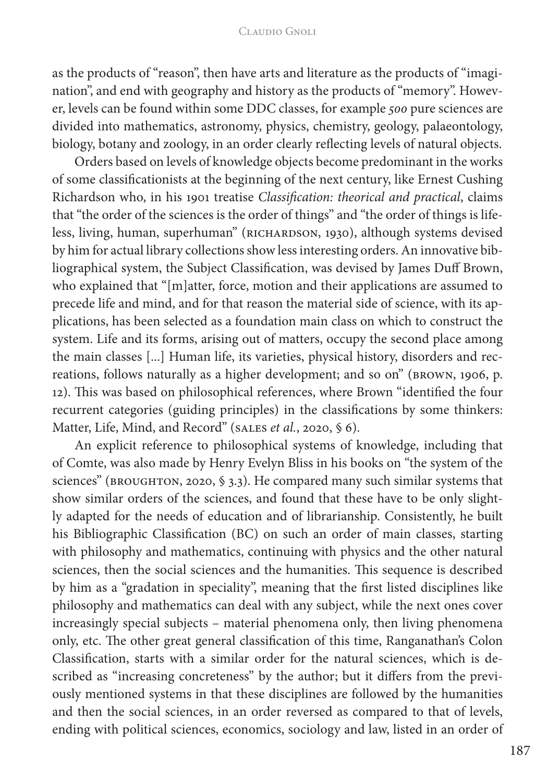#### Claudio Gnoli

as the products of "reason", then have arts and literature as the products of "imagination", and end with geography and history as the products of "memory". However, levels can be found within some DDC classes, for example *500* pure sciences are divided into mathematics, astronomy, physics, chemistry, geology, palaeontology, biology, botany and zoology, in an order clearly reflecting levels of natural objects.

Orders based on levels of knowledge objects become predominant in the works of some classificationists at the beginning of the next century, like Ernest Cushing Richardson who, in his 1901 treatise *Classification: theorical and practical*, claims that "the order of the sciences is the order of things" and "the order of things is lifeless, living, human, superhuman" (RICHARDSON, 1930), although systems devised by him for actual library collections show less interesting orders. An innovative bibliographical system, the Subject Classification, was devised by James Duff Brown, who explained that "[m]atter, force, motion and their applications are assumed to precede life and mind, and for that reason the material side of science, with its applications, has been selected as a foundation main class on which to construct the system. Life and its forms, arising out of matters, occupy the second place among the main classes [...] Human life, its varieties, physical history, disorders and recreations, follows naturally as a higher development; and so on" (BROWN, 1906, p. 12). This was based on philosophical references, where Brown "identified the four recurrent categories (guiding principles) in the classifications by some thinkers: Matter, Life, Mind, and Record" (SALES *et al.*, 2020, § 6).

An explicit reference to philosophical systems of knowledge, including that of Comte, was also made by Henry Evelyn Bliss in his books on "the system of the sciences" (BROUGHTON, 2020, § 3.3). He compared many such similar systems that show similar orders of the sciences, and found that these have to be only slightly adapted for the needs of education and of librarianship. Consistently, he built his Bibliographic Classification (BC) on such an order of main classes, starting with philosophy and mathematics, continuing with physics and the other natural sciences, then the social sciences and the humanities. This sequence is described by him as a "gradation in speciality", meaning that the first listed disciplines like philosophy and mathematics can deal with any subject, while the next ones cover increasingly special subjects – material phenomena only, then living phenomena only, etc. The other great general classification of this time, Ranganathan's Colon Classification, starts with a similar order for the natural sciences, which is described as "increasing concreteness" by the author; but it differs from the previously mentioned systems in that these disciplines are followed by the humanities and then the social sciences, in an order reversed as compared to that of levels, ending with political sciences, economics, sociology and law, listed in an order of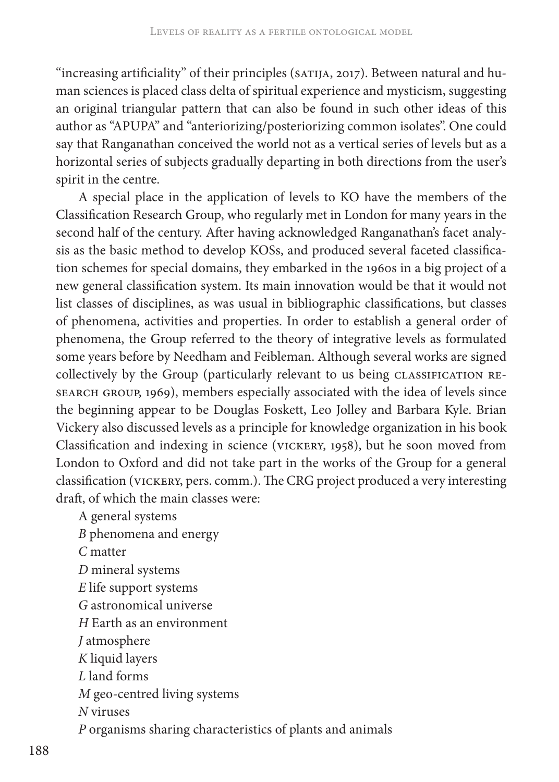"increasing artificiality" of their principles (SATIJA, 2017). Between natural and human sciences is placed class delta of spiritual experience and mysticism, suggesting an original triangular pattern that can also be found in such other ideas of this author as "APUPA" and "anteriorizing/posteriorizing common isolates". One could say that Ranganathan conceived the world not as a vertical series of levels but as a horizontal series of subjects gradually departing in both directions from the user's spirit in the centre.

A special place in the application of levels to KO have the members of the Classification Research Group, who regularly met in London for many years in the second half of the century. After having acknowledged Ranganathan's facet analysis as the basic method to develop KOSs, and produced several faceted classification schemes for special domains, they embarked in the 1960s in a big project of a new general classification system. Its main innovation would be that it would not list classes of disciplines, as was usual in bibliographic classifications, but classes of phenomena, activities and properties. In order to establish a general order of phenomena, the Group referred to the theory of integrative levels as formulated some years before by Needham and Feibleman. Although several works are signed collectively by the Group (particularly relevant to us being CLASSIFICATION RE-SEARCH GROUP, 1969), members especially associated with the idea of levels since the beginning appear to be Douglas Foskett, Leo Jolley and Barbara Kyle. Brian Vickery also discussed levels as a principle for knowledge organization in his book Classification and indexing in science (VICKERY, 1958), but he soon moved from London to Oxford and did not take part in the works of the Group for a general classification (VICKERY, pers. comm.). The CRG project produced a very interesting draft, of which the main classes were:

A general systems *B* phenomena and energy *C* matter *D* mineral systems *E* life support systems *G* astronomical universe *H* Earth as an environment *J* atmosphere *K* liquid layers *L* land forms *M* geo-centred living systems *N* viruses *P* organisms sharing characteristics of plants and animals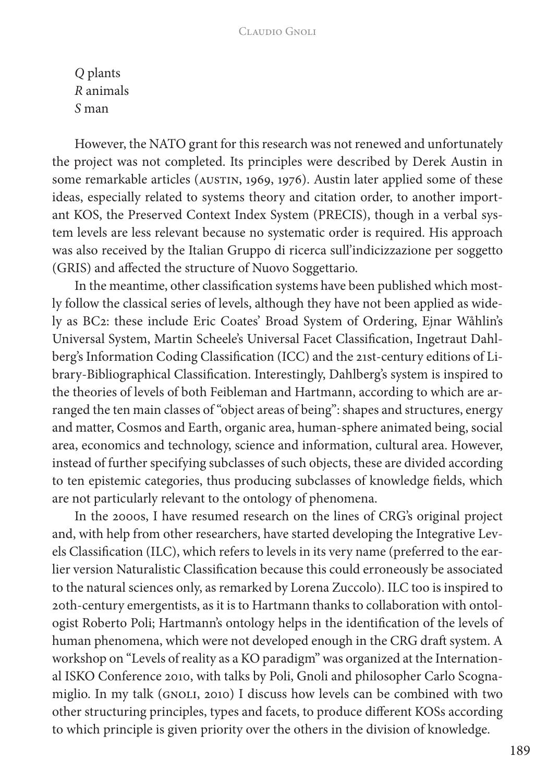*Q* plants *R* animals *S* man

However, the NATO grant for this research was not renewed and unfortunately the project was not completed. Its principles were described by Derek Austin in some remarkable articles (AUSTIN, 1969, 1976). Austin later applied some of these ideas, especially related to systems theory and citation order, to another important KOS, the Preserved Context Index System (PRECIS), though in a verbal system levels are less relevant because no systematic order is required. His approach was also received by the Italian Gruppo di ricerca sull'indicizzazione per soggetto (GRIS) and affected the structure of Nuovo Soggettario.

In the meantime, other classification systems have been published which mostly follow the classical series of levels, although they have not been applied as widely as BC2: these include Eric Coates' Broad System of Ordering, Ejnar Wåhlin's Universal System, Martin Scheele's Universal Facet Classification, Ingetraut Dahlberg's Information Coding Classification (ICC) and the 21st-century editions of Library-Bibliographical Classification. Interestingly, Dahlberg's system is inspired to the theories of levels of both Feibleman and Hartmann, according to which are arranged the ten main classes of "object areas of being": shapes and structures, energy and matter, Cosmos and Earth, organic area, human-sphere animated being, social area, economics and technology, science and information, cultural area. However, instead of further specifying subclasses of such objects, these are divided according to ten epistemic categories, thus producing subclasses of knowledge fields, which are not particularly relevant to the ontology of phenomena.

In the 2000s, I have resumed research on the lines of CRG's original project and, with help from other researchers, have started developing the Integrative Levels Classification (ILC), which refers to levels in its very name (preferred to the earlier version Naturalistic Classification because this could erroneously be associated to the natural sciences only, as remarked by Lorena Zuccolo). ILC too is inspired to 20th-century emergentists, as it is to Hartmann thanks to collaboration with ontologist Roberto Poli; Hartmann's ontology helps in the identification of the levels of human phenomena, which were not developed enough in the CRG draft system. A workshop on "Levels of reality as a KO paradigm" was organized at the International ISKO Conference 2010, with talks by Poli, Gnoli and philosopher Carlo Scognamiglio. In my talk (GNOLI, 2010) I discuss how levels can be combined with two other structuring principles, types and facets, to produce different KOSs according to which principle is given priority over the others in the division of knowledge.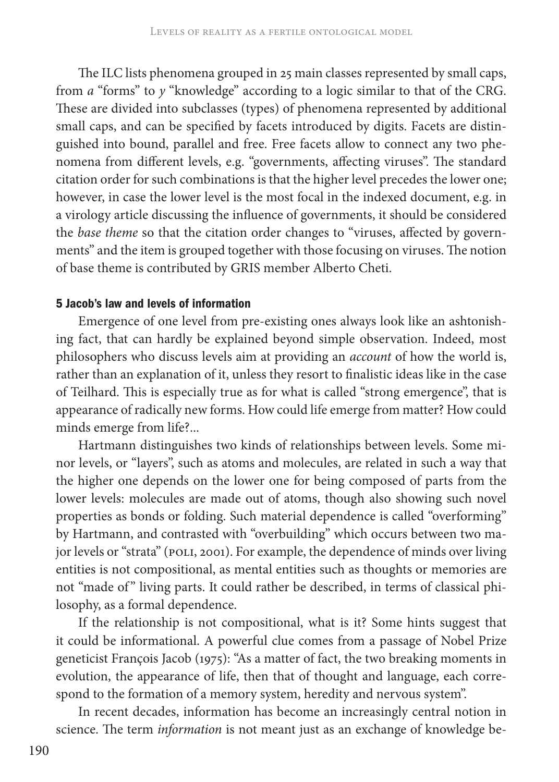The ILC lists phenomena grouped in 25 main classes represented by small caps, from *a* "forms" to *y* "knowledge" according to a logic similar to that of the CRG. These are divided into subclasses (types) of phenomena represented by additional small caps, and can be specified by facets introduced by digits. Facets are distinguished into bound, parallel and free. Free facets allow to connect any two phenomena from different levels, e.g. "governments, affecting viruses". The standard citation order for such combinations is that the higher level precedes the lower one; however, in case the lower level is the most focal in the indexed document, e.g. in a virology article discussing the influence of governments, it should be considered the *base theme* so that the citation order changes to "viruses, affected by governments" and the item is grouped together with those focusing on viruses. The notion of base theme is contributed by GRIS member Alberto Cheti.

# 5 Jacob's law and levels of information

Emergence of one level from pre-existing ones always look like an ashtonishing fact, that can hardly be explained beyond simple observation. Indeed, most philosophers who discuss levels aim at providing an *account* of how the world is, rather than an explanation of it, unless they resort to finalistic ideas like in the case of Teilhard. This is especially true as for what is called "strong emergence", that is appearance of radically new forms. How could life emerge from matter? How could minds emerge from life?...

Hartmann distinguishes two kinds of relationships between levels. Some minor levels, or "layers", such as atoms and molecules, are related in such a way that the higher one depends on the lower one for being composed of parts from the lower levels: molecules are made out of atoms, though also showing such novel properties as bonds or folding. Such material dependence is called "overforming" by Hartmann, and contrasted with "overbuilding" which occurs between two major levels or "strata" (POLI, 2001). For example, the dependence of minds over living entities is not compositional, as mental entities such as thoughts or memories are not "made of" living parts. It could rather be described, in terms of classical philosophy, as a formal dependence.

If the relationship is not compositional, what is it? Some hints suggest that it could be informational. A powerful clue comes from a passage of Nobel Prize geneticist François Jacob (1975): "As a matter of fact, the two breaking moments in evolution, the appearance of life, then that of thought and language, each correspond to the formation of a memory system, heredity and nervous system".

In recent decades, information has become an increasingly central notion in science. The term *information* is not meant just as an exchange of knowledge be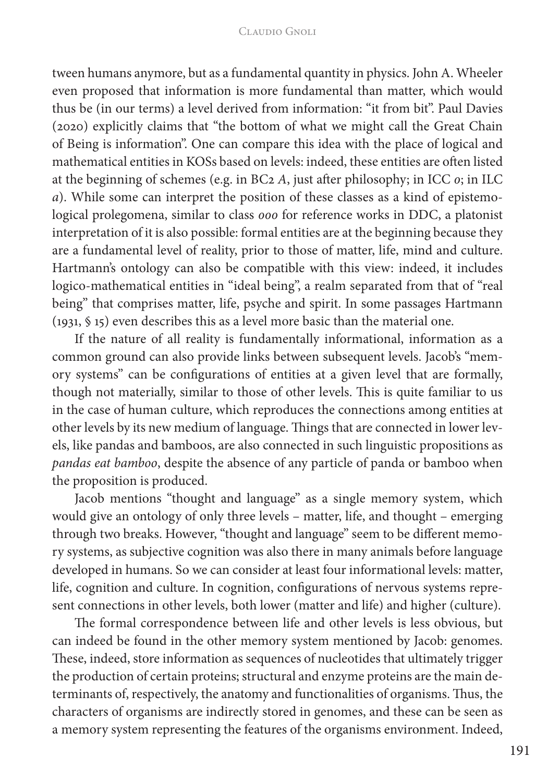tween humans anymore, but as a fundamental quantity in physics. John A. Wheeler even proposed that information is more fundamental than matter, which would thus be (in our terms) a level derived from information: "it from bit". Paul Davies (2020) explicitly claims that "the bottom of what we might call the Great Chain of Being is information". One can compare this idea with the place of logical and mathematical entities in KOSs based on levels: indeed, these entities are often listed at the beginning of schemes (e.g. in BC2 *A*, just after philosophy; in ICC *0*; in ILC *a*). While some can interpret the position of these classes as a kind of epistemological prolegomena, similar to class *000* for reference works in DDC, a platonist interpretation of it is also possible: formal entities are at the beginning because they are a fundamental level of reality, prior to those of matter, life, mind and culture. Hartmann's ontology can also be compatible with this view: indeed, it includes logico-mathematical entities in "ideal being", a realm separated from that of "real being" that comprises matter, life, psyche and spirit. In some passages Hartmann (1931, § 15) even describes this as a level more basic than the material one.

If the nature of all reality is fundamentally informational, information as a common ground can also provide links between subsequent levels. Jacob's "memory systems" can be configurations of entities at a given level that are formally, though not materially, similar to those of other levels. This is quite familiar to us in the case of human culture, which reproduces the connections among entities at other levels by its new medium of language. Things that are connected in lower levels, like pandas and bamboos, are also connected in such linguistic propositions as *pandas eat bamboo*, despite the absence of any particle of panda or bamboo when the proposition is produced.

Jacob mentions "thought and language" as a single memory system, which would give an ontology of only three levels – matter, life, and thought – emerging through two breaks. However, "thought and language" seem to be different memory systems, as subjective cognition was also there in many animals before language developed in humans. So we can consider at least four informational levels: matter, life, cognition and culture. In cognition, configurations of nervous systems represent connections in other levels, both lower (matter and life) and higher (culture).

The formal correspondence between life and other levels is less obvious, but can indeed be found in the other memory system mentioned by Jacob: genomes. These, indeed, store information as sequences of nucleotides that ultimately trigger the production of certain proteins; structural and enzyme proteins are the main determinants of, respectively, the anatomy and functionalities of organisms. Thus, the characters of organisms are indirectly stored in genomes, and these can be seen as a memory system representing the features of the organisms environment. Indeed,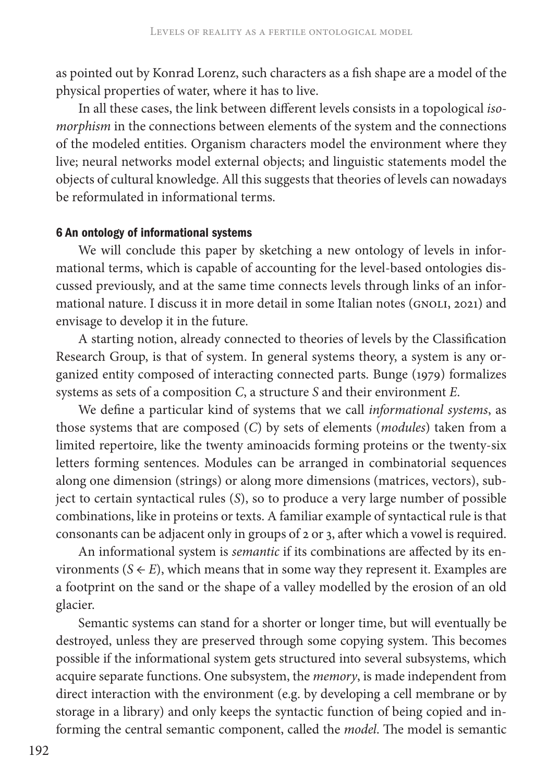as pointed out by Konrad Lorenz, such characters as a fish shape are a model of the physical properties of water, where it has to live.

In all these cases, the link between different levels consists in a topological *isomorphism* in the connections between elements of the system and the connections of the modeled entities. Organism characters model the environment where they live; neural networks model external objects; and linguistic statements model the objects of cultural knowledge. All this suggests that theories of levels can nowadays be reformulated in informational terms.

# 6 An ontology of informational systems

We will conclude this paper by sketching a new ontology of levels in informational terms, which is capable of accounting for the level-based ontologies discussed previously, and at the same time connects levels through links of an informational nature. I discuss it in more detail in some Italian notes (GNOLI, 2021) and envisage to develop it in the future.

A starting notion, already connected to theories of levels by the Classification Research Group, is that of system. In general systems theory, a system is any organized entity composed of interacting connected parts. Bunge (1979) formalizes systems as sets of a composition *C*, a structure *S* and their environment *E*.

We define a particular kind of systems that we call *informational systems*, as those systems that are composed (*C*) by sets of elements (*modules*) taken from a limited repertoire, like the twenty aminoacids forming proteins or the twenty-six letters forming sentences. Modules can be arranged in combinatorial sequences along one dimension (strings) or along more dimensions (matrices, vectors), subject to certain syntactical rules (*S*), so to produce a very large number of possible combinations, like in proteins or texts. A familiar example of syntactical rule is that consonants can be adjacent only in groups of 2 or 3, after which a vowel is required.

An informational system is *semantic* if its combinations are affected by its environments ( $S \leftarrow E$ ), which means that in some way they represent it. Examples are a footprint on the sand or the shape of a valley modelled by the erosion of an old glacier.

Semantic systems can stand for a shorter or longer time, but will eventually be destroyed, unless they are preserved through some copying system. This becomes possible if the informational system gets structured into several subsystems, which acquire separate functions. One subsystem, the *memory*, is made independent from direct interaction with the environment (e.g. by developing a cell membrane or by storage in a library) and only keeps the syntactic function of being copied and informing the central semantic component, called the *model*. The model is semantic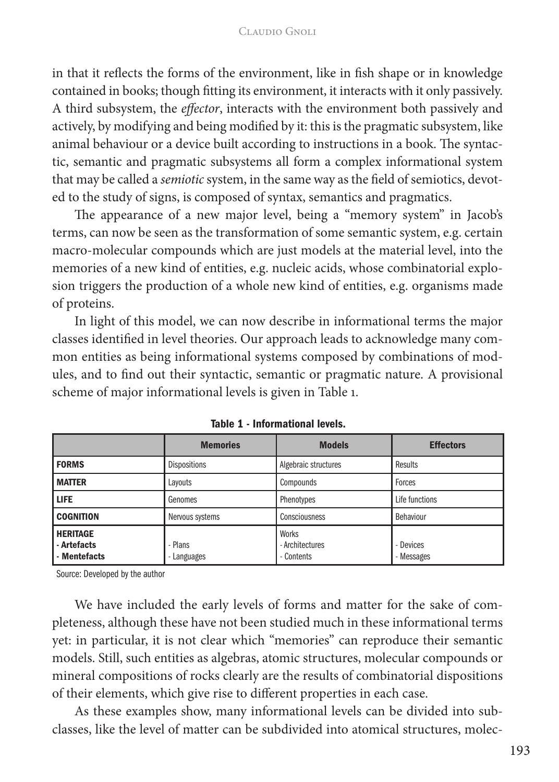in that it reflects the forms of the environment, like in fish shape or in knowledge contained in books; though fitting its environment, it interacts with it only passively. A third subsystem, the *effector*, interacts with the environment both passively and actively, by modifying and being modified by it: this is the pragmatic subsystem, like animal behaviour or a device built according to instructions in a book. The syntactic, semantic and pragmatic subsystems all form a complex informational system that may be called a *semiotic* system, in the same way as the field of semiotics, devoted to the study of signs, is composed of syntax, semantics and pragmatics.

The appearance of a new major level, being a "memory system" in Jacob's terms, can now be seen as the transformation of some semantic system, e.g. certain macro-molecular compounds which are just models at the material level, into the memories of a new kind of entities, e.g. nucleic acids, whose combinatorial explosion triggers the production of a whole new kind of entities, e.g. organisms made of proteins.

In light of this model, we can now describe in informational terms the major classes identified in level theories. Our approach leads to acknowledge many common entities as being informational systems composed by combinations of modules, and to find out their syntactic, semantic or pragmatic nature. A provisional scheme of major informational levels is given in Table 1.

|                                                | <b>Memories</b>      | <b>Models</b>                          | <b>Effectors</b>        |
|------------------------------------------------|----------------------|----------------------------------------|-------------------------|
| <b>FORMS</b>                                   | <b>Dispositions</b>  | Algebraic structures                   | Results                 |
| I MATTER                                       | Lavouts              | Compounds                              | Forces                  |
| l life                                         | Genomes              | Phenotypes                             | Life functions          |
| <b>COGNITION</b>                               | Nervous systems      | Consciousness                          | Behaviour               |
| <b>HERITAGE</b><br>- Artefacts<br>- Mentefacts | - Plans<br>Languages | Works<br>- Architectures<br>- Contents | - Devices<br>- Messages |

Table 1 - Informational levels.

Source: Developed by the author

We have included the early levels of forms and matter for the sake of completeness, although these have not been studied much in these informational terms yet: in particular, it is not clear which "memories" can reproduce their semantic models. Still, such entities as algebras, atomic structures, molecular compounds or mineral compositions of rocks clearly are the results of combinatorial dispositions of their elements, which give rise to different properties in each case.

As these examples show, many informational levels can be divided into subclasses, like the level of matter can be subdivided into atomical structures, molec-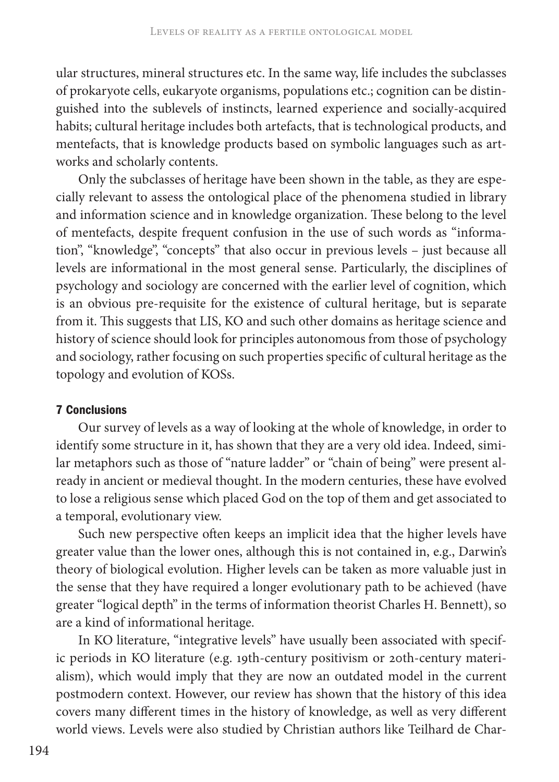ular structures, mineral structures etc. In the same way, life includes the subclasses of prokaryote cells, eukaryote organisms, populations etc.; cognition can be distinguished into the sublevels of instincts, learned experience and socially-acquired habits; cultural heritage includes both artefacts, that is technological products, and mentefacts, that is knowledge products based on symbolic languages such as artworks and scholarly contents.

Only the subclasses of heritage have been shown in the table, as they are especially relevant to assess the ontological place of the phenomena studied in library and information science and in knowledge organization. These belong to the level of mentefacts, despite frequent confusion in the use of such words as "information", "knowledge", "concepts" that also occur in previous levels – just because all levels are informational in the most general sense. Particularly, the disciplines of psychology and sociology are concerned with the earlier level of cognition, which is an obvious pre-requisite for the existence of cultural heritage, but is separate from it. This suggests that LIS, KO and such other domains as heritage science and history of science should look for principles autonomous from those of psychology and sociology, rather focusing on such properties specific of cultural heritage as the topology and evolution of KOSs.

# 7 Conclusions

Our survey of levels as a way of looking at the whole of knowledge, in order to identify some structure in it, has shown that they are a very old idea. Indeed, similar metaphors such as those of "nature ladder" or "chain of being" were present already in ancient or medieval thought. In the modern centuries, these have evolved to lose a religious sense which placed God on the top of them and get associated to a temporal, evolutionary view.

Such new perspective often keeps an implicit idea that the higher levels have greater value than the lower ones, although this is not contained in, e.g., Darwin's theory of biological evolution. Higher levels can be taken as more valuable just in the sense that they have required a longer evolutionary path to be achieved (have greater "logical depth" in the terms of information theorist Charles H. Bennett), so are a kind of informational heritage.

In KO literature, "integrative levels" have usually been associated with specific periods in KO literature (e.g. 19th-century positivism or 20th-century materialism), which would imply that they are now an outdated model in the current postmodern context. However, our review has shown that the history of this idea covers many different times in the history of knowledge, as well as very different world views. Levels were also studied by Christian authors like Teilhard de Char-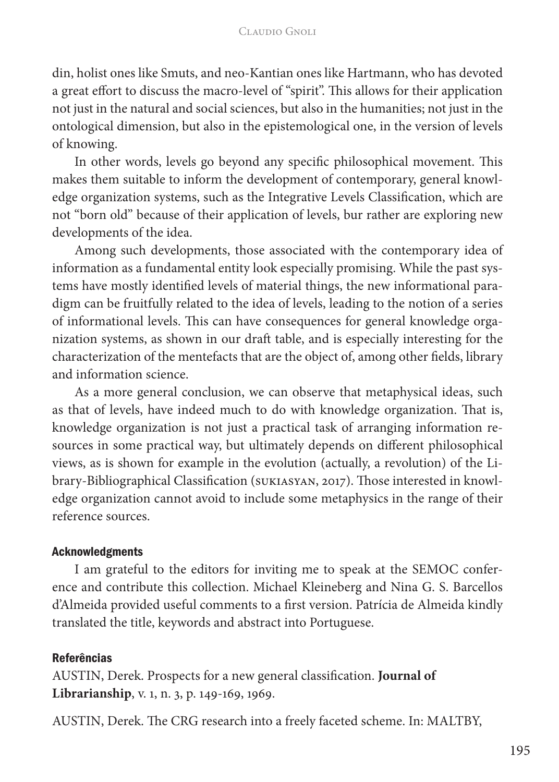din, holist ones like Smuts, and neo-Kantian ones like Hartmann, who has devoted a great effort to discuss the macro-level of "spirit". This allows for their application not just in the natural and social sciences, but also in the humanities; not just in the ontological dimension, but also in the epistemological one, in the version of levels of knowing.

In other words, levels go beyond any specific philosophical movement. This makes them suitable to inform the development of contemporary, general knowledge organization systems, such as the Integrative Levels Classification, which are not "born old" because of their application of levels, bur rather are exploring new developments of the idea.

Among such developments, those associated with the contemporary idea of information as a fundamental entity look especially promising. While the past systems have mostly identified levels of material things, the new informational paradigm can be fruitfully related to the idea of levels, leading to the notion of a series of informational levels. This can have consequences for general knowledge organization systems, as shown in our draft table, and is especially interesting for the characterization of the mentefacts that are the object of, among other fields, library and information science.

As a more general conclusion, we can observe that metaphysical ideas, such as that of levels, have indeed much to do with knowledge organization. That is, knowledge organization is not just a practical task of arranging information resources in some practical way, but ultimately depends on different philosophical views, as is shown for example in the evolution (actually, a revolution) of the Library-Bibliographical Classification (SUKIASYAN, 2017). Those interested in knowledge organization cannot avoid to include some metaphysics in the range of their reference sources.

# Acknowledgments

I am grateful to the editors for inviting me to speak at the SEMOC conference and contribute this collection. Michael Kleineberg and Nina G. S. Barcellos d'Almeida provided useful comments to a first version. Patrícia de Almeida kindly translated the title, keywords and abstract into Portuguese.

# **Referências**

AUSTIN, Derek. Prospects for a new general classification. **Journal of Librarianship**, v. 1, n. 3, p. 149-169, 1969.

AUSTIN, Derek. The CRG research into a freely faceted scheme. In: MALTBY,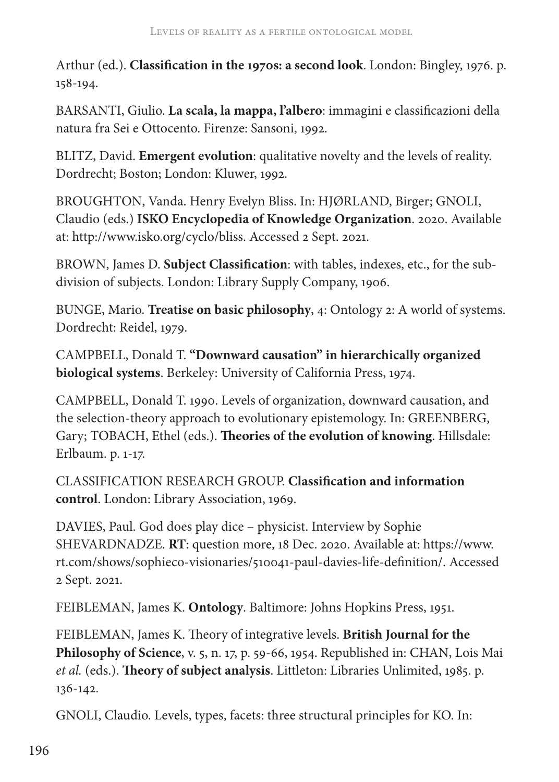Arthur (ed.). **Classification in the 1970s: a second look**. London: Bingley, 1976. p. 158-194.

BARSANTI, Giulio. **La scala, la mappa, l'albero**: immagini e classificazioni della natura fra Sei e Ottocento. Firenze: Sansoni, 1992.

BLITZ, David. **Emergent evolution**: qualitative novelty and the levels of reality. Dordrecht; Boston; London: Kluwer, 1992.

BROUGHTON, Vanda. Henry Evelyn Bliss. In: HJØRLAND, Birger; GNOLI, Claudio (eds.) **ISKO Encyclopedia of Knowledge Organization**. 2020. Available at: http://www.isko.org/cyclo/bliss. Accessed 2 Sept. 2021.

BROWN, James D. **Subject Classification**: with tables, indexes, etc., for the subdivision of subjects. London: Library Supply Company, 1906.

BUNGE, Mario. **Treatise on basic philosophy**, 4: Ontology 2: A world of systems. Dordrecht: Reidel, 1979.

CAMPBELL, Donald T. **"Downward causation" in hierarchically organized biological systems**. Berkeley: University of California Press, 1974.

CAMPBELL, Donald T. 1990. Levels of organization, downward causation, and the selection-theory approach to evolutionary epistemology. In: GREENBERG, Gary; TOBACH, Ethel (eds.). **Theories of the evolution of knowing**. Hillsdale: Erlbaum. p. 1-17.

CLASSIFICATION RESEARCH GROUP. **Classification and information control**. London: Library Association, 1969.

DAVIES, Paul. God does play dice – physicist. Interview by Sophie SHEVARDNADZE. **RT**: question more, 18 Dec. 2020. Available at: https://www. rt.com/shows/sophieco-visionaries/510041-paul-davies-life-definition/. Accessed 2 Sept. 2021.

FEIBLEMAN, James K. **Ontology**. Baltimore: Johns Hopkins Press, 1951.

FEIBLEMAN, James K. Theory of integrative levels. **British Journal for the Philosophy of Science**, v. 5, n. 17, p. 59-66, 1954. Republished in: CHAN, Lois Mai *et al.* (eds.). **Theory of subject analysis**. Littleton: Libraries Unlimited, 1985. p. 136-142.

GNOLI, Claudio. Levels, types, facets: three structural principles for KO. In: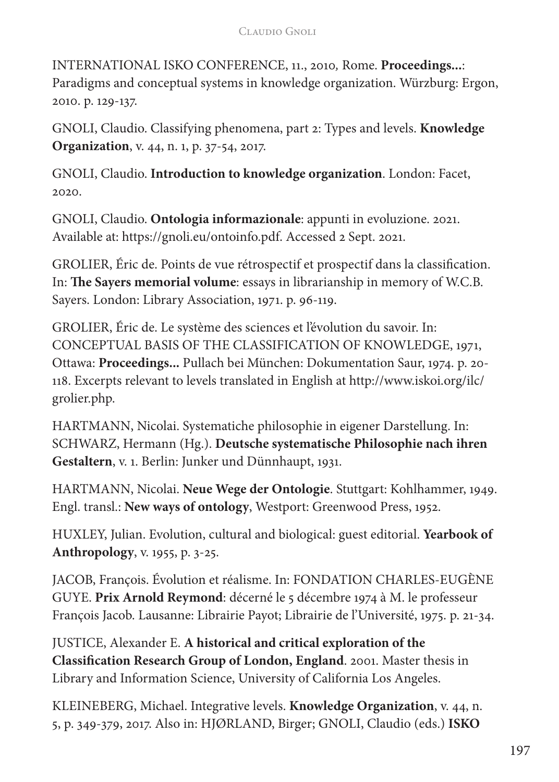#### Claudio Gnoli

INTERNATIONAL ISKO CONFERENCE, 11., 2010*,* Rome. **Proceedings...**: Paradigms and conceptual systems in knowledge organization. Würzburg: Ergon, 2010. p. 129-137.

GNOLI, Claudio. Classifying phenomena, part 2: Types and levels. **Knowledge Organization**, v. 44, n. 1, p. 37-54, 2017.

GNOLI, Claudio. **Introduction to knowledge organization**. London: Facet, 2020.

GNOLI, Claudio. **Ontologia informazionale**: appunti in evoluzione. 2021. Available at: https://gnoli.eu/ontoinfo.pdf. Accessed 2 Sept. 2021.

GROLIER, Éric de. Points de vue rétrospectif et prospectif dans la classification. In: **The Sayers memorial volume**: essays in librarianship in memory of W.C.B. Sayers. London: Library Association, 1971. p. 96-119.

GROLIER, Éric de. Le système des sciences et l'évolution du savoir. In: CONCEPTUAL BASIS OF THE CLASSIFICATION OF KNOWLEDGE, 1971, Ottawa: **Proceedings...** Pullach bei München: Dokumentation Saur, 1974. p. 20- 118. Excerpts relevant to levels translated in English at http://www.iskoi.org/ilc/ grolier.php.

HARTMANN, Nicolai. Systematiche philosophie in eigener Darstellung. In: SCHWARZ, Hermann (Hg.). **Deutsche systematische Philosophie nach ihren Gestaltern**, v. 1. Berlin: Junker und Dünnhaupt, 1931.

HARTMANN, Nicolai. **Neue Wege der Ontologie**. Stuttgart: Kohlhammer, 1949. Engl. transl.: **New ways of ontology**, Westport: Greenwood Press, 1952.

HUXLEY, Julian. Evolution, cultural and biological: guest editorial. **Yearbook of Anthropology**, v. 1955, p. 3-25.

JACOB, François. Évolution et réalisme. In: FONDATION CHARLES-EUGÈNE GUYE. **Prix Arnold Reymond**: décerné le 5 décembre 1974 à M. le professeur François Jacob. Lausanne: Librairie Payot; Librairie de l'Université, 1975. p. 21-34.

JUSTICE, Alexander E. **A historical and critical exploration of the Classification Research Group of London, England**. 2001. Master thesis in Library and Information Science, University of California Los Angeles.

KLEINEBERG, Michael. Integrative levels. **Knowledge Organization**, v. 44, n. 5, p. 349-379, 2017. Also in: HJØRLAND, Birger; GNOLI, Claudio (eds.) **ISKO**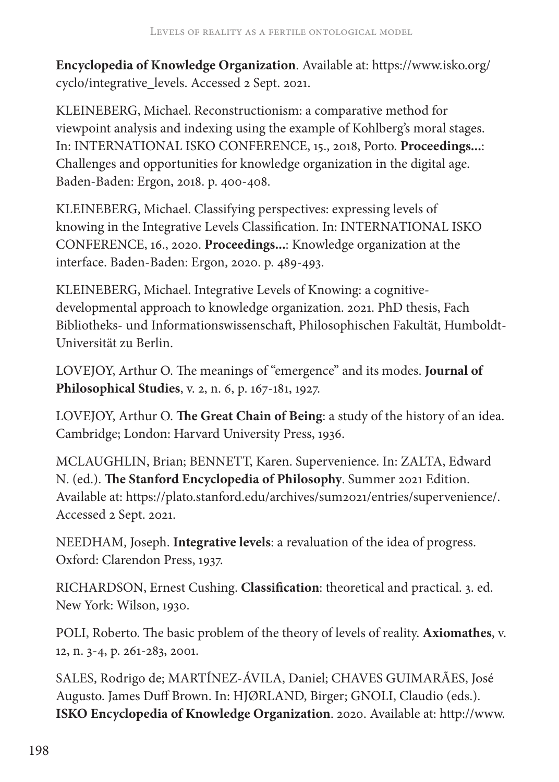**Encyclopedia of Knowledge Organization**. Available at: https://www.isko.org/ cyclo/integrative\_levels. Accessed 2 Sept. 2021.

KLEINEBERG, Michael. Reconstructionism: a comparative method for viewpoint analysis and indexing using the example of Kohlberg's moral stages. In: INTERNATIONAL ISKO CONFERENCE, 15., 2018, Porto. **Proceedings...**: Challenges and opportunities for knowledge organization in the digital age. Baden-Baden: Ergon, 2018. p. 400-408.

KLEINEBERG, Michael. Classifying perspectives: expressing levels of knowing in the Integrative Levels Classification. In: INTERNATIONAL ISKO CONFERENCE, 16., 2020. **Proceedings...**: Knowledge organization at the interface. Baden-Baden: Ergon, 2020. p. 489-493.

KLEINEBERG, Michael. Integrative Levels of Knowing: a cognitivedevelopmental approach to knowledge organization. 2021. PhD thesis, Fach Bibliotheks- und Informationswissenschaft, Philosophischen Fakultät, Humboldt-Universität zu Berlin.

LOVEJOY, Arthur O. The meanings of "emergence" and its modes. **Journal of Philosophical Studies**, v. 2, n. 6, p. 167-181, 1927.

LOVEJOY, Arthur O. **The Great Chain of Being**: a study of the history of an idea. Cambridge; London: Harvard University Press, 1936.

MCLAUGHLIN, Brian; BENNETT, Karen. Supervenience. In: ZALTA, Edward N. (ed.). **The Stanford Encyclopedia of Philosophy**. Summer 2021 Edition. Available at: https://plato.stanford.edu/archives/sum2021/entries/supervenience/. Accessed 2 Sept. 2021.

NEEDHAM, Joseph. **Integrative levels**: a revaluation of the idea of progress. Oxford: Clarendon Press, 1937.

RICHARDSON, Ernest Cushing. **Classification**: theoretical and practical. 3. ed. New York: Wilson, 1930.

POLI, Roberto. The basic problem of the theory of levels of reality. **Axiomathes**, v. 12, n. 3-4, p. 261-283, 2001.

SALES, Rodrigo de; MARTÍNEZ-ÁVILA, Daniel; CHAVES GUIMARÃES, José Augusto. James Duff Brown. In: HJØRLAND, Birger; GNOLI, Claudio (eds.). **ISKO Encyclopedia of Knowledge Organization**. 2020. Available at: http://www.